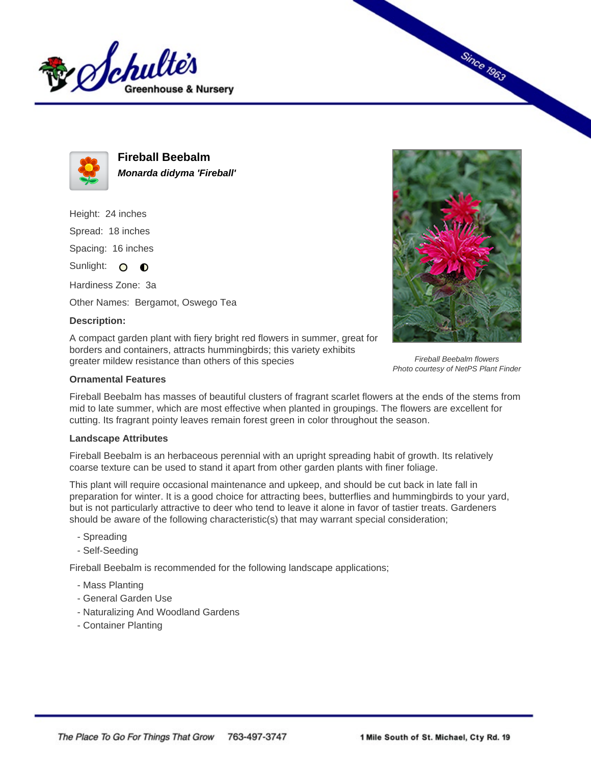



**Fireball Beebalm Monarda didyma 'Fireball'**

Height: 24 inches Spread: 18 inches Spacing: 16 inches

Sunlight: O  $\bullet$ 

Hardiness Zone: 3a

Other Names: Bergamot, Oswego Tea

## **Description:**

A compact garden plant with fiery bright red flowers in summer, great for borders and containers, attracts hummingbirds; this variety exhibits greater mildew resistance than others of this species



**Since 1963** 

Fireball Beebalm flowers Photo courtesy of NetPS Plant Finder

## **Ornamental Features**

Fireball Beebalm has masses of beautiful clusters of fragrant scarlet flowers at the ends of the stems from mid to late summer, which are most effective when planted in groupings. The flowers are excellent for cutting. Its fragrant pointy leaves remain forest green in color throughout the season.

## **Landscape Attributes**

Fireball Beebalm is an herbaceous perennial with an upright spreading habit of growth. Its relatively coarse texture can be used to stand it apart from other garden plants with finer foliage.

This plant will require occasional maintenance and upkeep, and should be cut back in late fall in preparation for winter. It is a good choice for attracting bees, butterflies and hummingbirds to your yard, but is not particularly attractive to deer who tend to leave it alone in favor of tastier treats. Gardeners should be aware of the following characteristic(s) that may warrant special consideration;

- Spreading
- Self-Seeding

Fireball Beebalm is recommended for the following landscape applications;

- Mass Planting
- General Garden Use
- Naturalizing And Woodland Gardens
- Container Planting